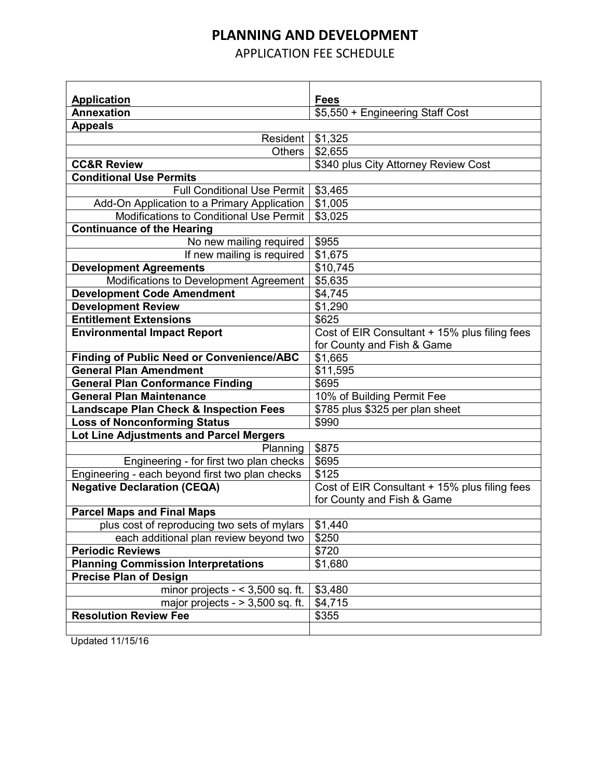## **PLANNING AND DEVELOPMENT**

APPLICATION FEE SCHEDULE

| <b>Application</b>                                                                     | <b>Fees</b>                                   |
|----------------------------------------------------------------------------------------|-----------------------------------------------|
| <b>Annexation</b>                                                                      | \$5,550 + Engineering Staff Cost              |
| <b>Appeals</b>                                                                         |                                               |
| Resident                                                                               | \$1,325                                       |
| <b>Others</b>                                                                          | \$2,655                                       |
| <b>CC&amp;R Review</b>                                                                 | \$340 plus City Attorney Review Cost          |
| <b>Conditional Use Permits</b>                                                         |                                               |
| <b>Full Conditional Use Permit</b>                                                     | \$3,465                                       |
|                                                                                        |                                               |
| Add-On Application to a Primary Application<br>Modifications to Conditional Use Permit | \$1,005<br>\$3,025                            |
|                                                                                        |                                               |
| <b>Continuance of the Hearing</b>                                                      |                                               |
| No new mailing required                                                                | \$955                                         |
| If new mailing is required                                                             | \$1,675                                       |
| <b>Development Agreements</b>                                                          | \$10,745                                      |
| Modifications to Development Agreement                                                 | \$5,635                                       |
| <b>Development Code Amendment</b>                                                      | \$4,745                                       |
| <b>Development Review</b>                                                              | \$1,290                                       |
| <b>Entitlement Extensions</b>                                                          | \$625                                         |
| <b>Environmental Impact Report</b>                                                     | Cost of EIR Consultant + 15% plus filing fees |
|                                                                                        | for County and Fish & Game                    |
| <b>Finding of Public Need or Convenience/ABC</b>                                       | \$1,665                                       |
| <b>General Plan Amendment</b>                                                          | \$11,595                                      |
| <b>General Plan Conformance Finding</b>                                                | \$695                                         |
| <b>General Plan Maintenance</b>                                                        | 10% of Building Permit Fee                    |
| <b>Landscape Plan Check &amp; Inspection Fees</b>                                      | \$785 plus \$325 per plan sheet               |
| <b>Loss of Nonconforming Status</b>                                                    | \$990                                         |
| Lot Line Adjustments and Parcel Mergers                                                |                                               |
| Planning                                                                               | \$875                                         |
| Engineering - for first two plan checks                                                | \$695                                         |
| Engineering - each beyond first two plan checks                                        | \$125                                         |
| <b>Negative Declaration (CEQA)</b>                                                     | Cost of EIR Consultant + 15% plus filing fees |
|                                                                                        | for County and Fish & Game                    |
| <b>Parcel Maps and Final Maps</b>                                                      |                                               |
| plus cost of reproducing two sets of mylars                                            | \$1,440                                       |
| each additional plan review beyond two                                                 | \$250                                         |
| <b>Periodic Reviews</b>                                                                | \$720                                         |
| <b>Planning Commission Interpretations</b>                                             | \$1,680                                       |
| <b>Precise Plan of Design</b>                                                          |                                               |
| minor projects $- < 3,500$ sq. ft.                                                     | \$3,480                                       |
| major projects - $> 3,500$ sq. ft.                                                     | \$4,715                                       |
| <b>Resolution Review Fee</b>                                                           |                                               |
|                                                                                        | \$355                                         |
|                                                                                        |                                               |

Updated 11/15/16